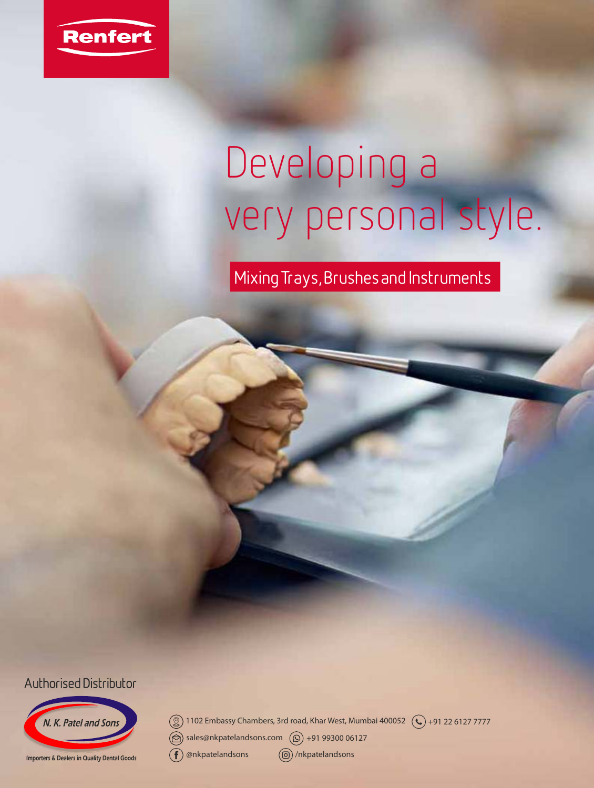

# Developing a very personal style.

Mixing Trays, Brushes and Instruments

**Authorised Distributor** 



 $\mathbb{Q}$ ) 1102 Embassy Chambers, 3rd road, Khar West, Mumbai 400052  $\mathbb{Q}$  +91 22 6127 7777  $\circledR$  sales@nkpatelandsons.com  $\circledR$  +91 99300 06127  $\left( f\right)$ @nkpatelandsons /nkpatelandsons

Importers & Dealers in Quality Dental Goods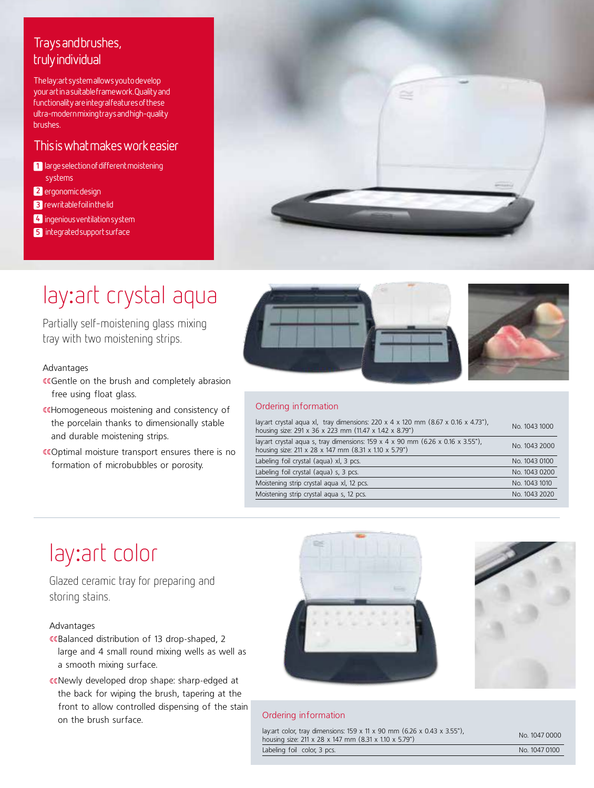# Trays and brushes, truly individual

The lay:art system allows you to develop your art in a suitable framework. Quality and functionality are integral features of these ultra-modern mixing trays and high-quality brushes.

# This is what makes work easier

- **1** large selection of different moistening systems
- **2** ergonomic design
- **3** rewritable foil in the lid
- **4** ingenious ventilation system
- **5** integrated support surface



# lay:art crystal aqua

Partially self-moistening glass mixing tray with two moistening strips.

# Advantages

- «Gentle on the brush and completely abrasion free using float glass.
- «Homogeneous moistening and consistency of the porcelain thanks to dimensionally stable and durable moistening strips.
- ƒƒOptimal moisture transport ensures there is no formation of microbubbles or porosity.





# Ordering information

| lay: art crystal agua xl, tray dimensions: $220 \times 4 \times 120$ mm $(8.67 \times 0.16 \times 4.73)$<br>housing size: 291 x 36 x 223 mm (11.47 x 1.42 x 8.79") | No. 1043 1000 |
|--------------------------------------------------------------------------------------------------------------------------------------------------------------------|---------------|
| lay: art crystal agua s, tray dimensions: $159 \times 4 \times 90$ mm (6.26 x 0.16 x 3.55"),<br>housing size: 211 x 28 x 147 mm (8.31 x 1.10 x 5.79")              | No. 1043 2000 |
| Labeling foil crystal (agua) xl, 3 pcs.                                                                                                                            | No. 1043 0100 |
| Labeling foil crystal (aqua) s, 3 pcs.                                                                                                                             | No. 1043 0200 |
| Moistening strip crystal aqua xl, 12 pcs.                                                                                                                          | No. 1043 1010 |
| Moistening strip crystal aqua s, 12 pcs.                                                                                                                           | No. 1043 2020 |
|                                                                                                                                                                    |               |

# lay:art color

Glazed ceramic tray for preparing and storing stains.

# Advantages

- «Balanced distribution of 13 drop-shaped, 2 large and 4 small round mixing wells as well as a smooth mixing surface.
- ƒƒNewly developed drop shape: sharp-edged at the back for wiping the brush, tapering at the front to allow controlled dispensing of the stain on the brush surface.





# Ordering information

| lay: art color, tray dimensions: 159 x 11 x 90 mm (6.26 x 0.43 x 3.55"),<br>housing size: 211 x 28 x 147 mm (8.31 x 1.10 x 5.79") |  |
|-----------------------------------------------------------------------------------------------------------------------------------|--|
| Labeling foil color, 3 pcs.                                                                                                       |  |

No. 1047 0000  $\overline{N_0$ . 1047 0100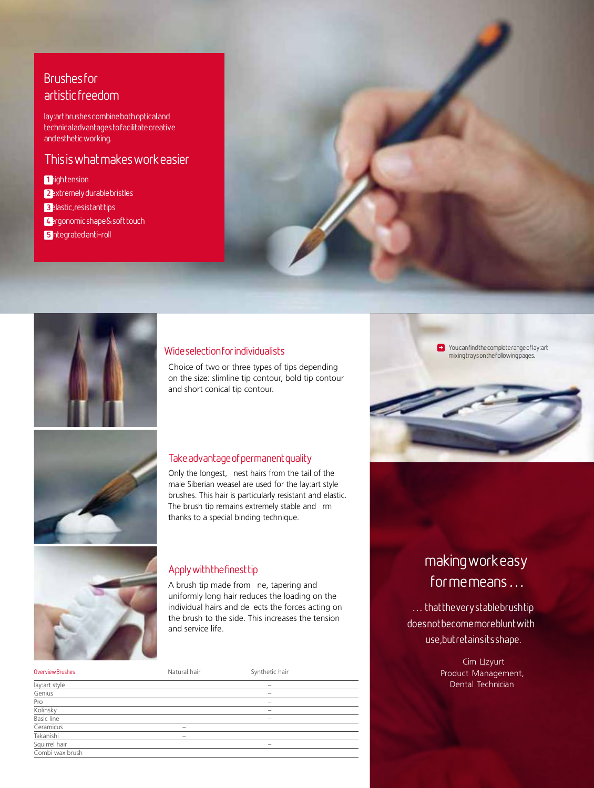# **Brushes for** artistic freedom

lay:art brushes combine both optical and technical advantages to facilitate creative and esthetic working.

# This is what makes work easier

**1 1 ightension** 

**2**extremely durable bristles

**3**elastic, resistant tips

**4**ergonomic shape & soft touch

**5** integrated anti-roll





# Wide selection for individualists

Choice of two or three types of tips depending on the size: slimline tip contour, bold tip contour and short conical tip contour.



# Take advantage of permanent quality

Only the longest, nest hairs from the tail of the male Siberian weasel are used for the lay:art style brushes. This hair is particularly resistant and elastic. The brush tip remains extremely stable and rm thanks to a special binding technique.



# Apply with the finest tip

A brush tip made from ne, tapering and uniformly long hair reduces the loading on the individual hairs and de ects the forces acting on the brush to the side. This increases the tension and service life.

| Overview Brushes  | Natural hair             | Synthetic hair           |  |
|-------------------|--------------------------|--------------------------|--|
| lay: art style    |                          |                          |  |
| Genius            |                          |                          |  |
| Pro               |                          | $\overline{\phantom{a}}$ |  |
| Kolinsky          |                          |                          |  |
| <b>Basic line</b> |                          | $\overline{\phantom{a}}$ |  |
| Ceramicus         | $\overline{\phantom{a}}$ |                          |  |
| Takanishi         |                          |                          |  |
| Squirrel hair     |                          |                          |  |
| Combi wax brush   |                          |                          |  |

 $\rightarrow$  You can find the complete range of lay: art mixing trays on the following pages.

# making work easy for me means …

... that the very stable brushtip does not become more blunt with use, but retains its shape.

> Cim Llzyurt Product Management, Dental Technician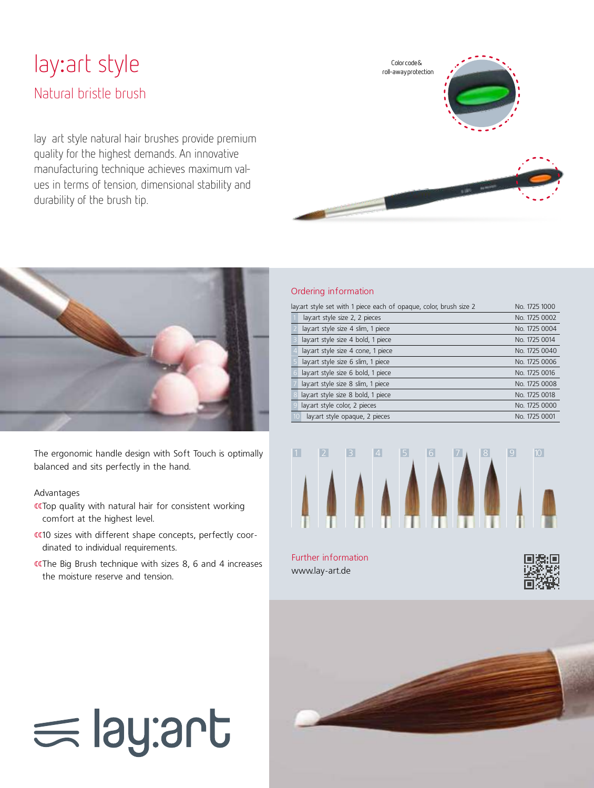# lay:art style Natural bristle brush

lay art style natural hair brushes provide premium quality for the highest demands. An innovative manufacturing technique achieves maximum values in terms of tension, dimensional stability and durability of the brush tip.





The ergonomic handle design with Soft Touch is optimally balanced and sits perfectly in the hand.

# Advantages

- «Top quality with natural hair for consistent working comfort at the highest level.
- «10 sizes with different shape concepts, perfectly coordinated to individual requirements.
- «The Big Brush technique with sizes 8, 6 and 4 increases the moisture reserve and tension.

#### Ordering information

| lay: art style set with 1 piece each of opaque, color, brush size 2 | No. 1725 1000                       |               |
|---------------------------------------------------------------------|-------------------------------------|---------------|
|                                                                     | lay: art style size 2, 2 pieces     | No. 1725 0002 |
|                                                                     | lay: art style size 4 slim, 1 piece | No. 1725 0004 |
|                                                                     | lay: art style size 4 bold, 1 piece | No. 1725 0014 |
|                                                                     | lay: art style size 4 cone, 1 piece | No. 1725 0040 |
|                                                                     | lay: art style size 6 slim, 1 piece | No. 1725 0006 |
|                                                                     | lay: art style size 6 bold, 1 piece | No. 1725 0016 |
|                                                                     | lay: art style size 8 slim, 1 piece | No. 1725 0008 |
|                                                                     | lay: art style size 8 bold, 1 piece | No. 1725 0018 |
|                                                                     | lay: art style color, 2 pieces      | No. 1725 0000 |
|                                                                     | lay: art style opaque, 2 pieces     | No. 1725 0001 |
|                                                                     |                                     |               |



www.lay-art.de





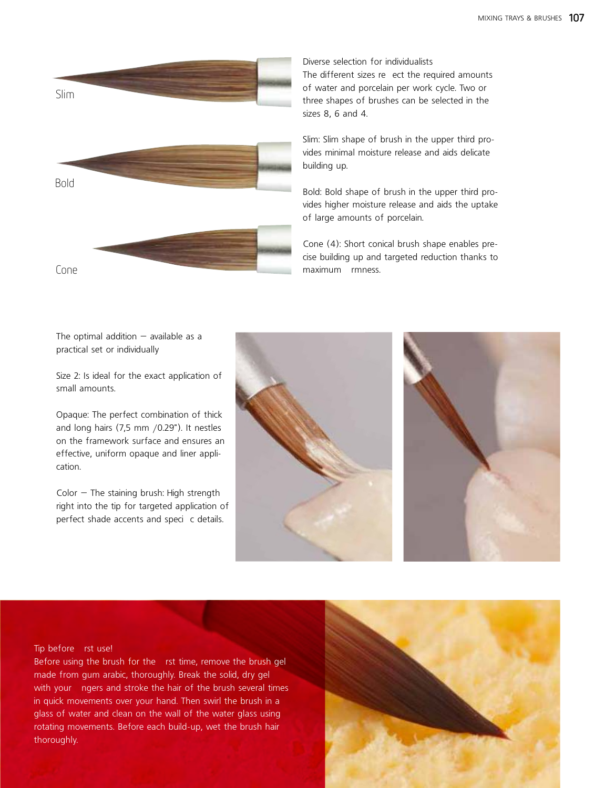

Diverse selection for individualists

The different sizes reect the required amounts of water and porcelain per work cycle. Two or three shapes of brushes can be selected in the sizes 8, 6 and 4.

Slim: Slim shape of brush in the upper third provides minimal moisture release and aids delicate building up.

Bold: Bold shape of brush in the upper third provides higher moisture release and aids the uptake of large amounts of porcelain.

Cone (4): Short conical brush shape enables precise building up and targeted reduction thanks to maximum rmness.

The optimal addition  $-$  available as a practical set or individually

Size 2: Is ideal for the exact application of small amounts.

Opaque: The perfect combination of thick and long hairs (7,5 mm /0.29"). It nestles on the framework surface and ensures an effective, uniform opaque and liner application.

 $Color - The staining brush: High strength$ right into the tip for targeted application of perfect shade accents and specic details.





#### Tip before rst use!

Before using the brush for the rst time, remove the brush gel made from gum arabic, thoroughly. Break the solid, dry gel with your ngers and stroke the hair of the brush several times in quick movements over your hand. Then swirl the brush in a glass of water and clean on the wall of the water glass using rotating movements. Before each build-up, wet the brush hair thoroughly.

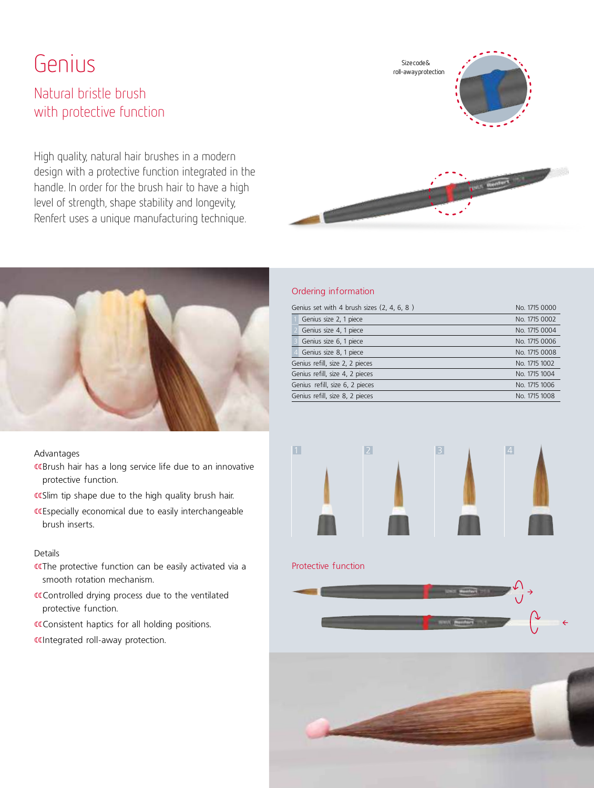# Genius

# Natural bristle brush with protective function

High quality, natural hair brushes in a modern design with a protective function integrated in the handle. In order for the brush hair to have a high level of strength, shape stability and longevity, Renfert uses a unique manufacturing technique.

# Size code & roll-away protection



## Advantages

- «Brush hair has a long service life due to an innovative protective function.
- «Slim tip shape due to the high quality brush hair.
- «Especially economical due to easily interchangeable brush inserts.

#### Details

- «The protective function can be easily activated via a smooth rotation mechanism.
- «Controlled drying process due to the ventilated protective function.
- «Consistent haptics for all holding positions.
- «Integrated roll-away protection.

# Ordering information

| Genius set with 4 brush sizes (2, 4, 6, 8)       | No. 1715 0000 |  |  |  |  |  |
|--------------------------------------------------|---------------|--|--|--|--|--|
| Genius size 2, 1 piece                           | No. 1715 0002 |  |  |  |  |  |
| Genius size 4, 1 piece                           | No. 1715 0004 |  |  |  |  |  |
| Genius size 6, 1 piece                           | No. 1715 0006 |  |  |  |  |  |
| Genius size 8, 1 piece                           | No. 1715 0008 |  |  |  |  |  |
| Genius refill, size 2, 2 pieces                  | No. 1715 1002 |  |  |  |  |  |
| Genius refill, size 4, 2 pieces                  | No. 1715 1004 |  |  |  |  |  |
| Genius refill, size 6, 2 pieces<br>No. 1715 1006 |               |  |  |  |  |  |
| Genius refill, size 8, 2 pieces                  | No. 1715 1008 |  |  |  |  |  |
|                                                  |               |  |  |  |  |  |



# Protective function



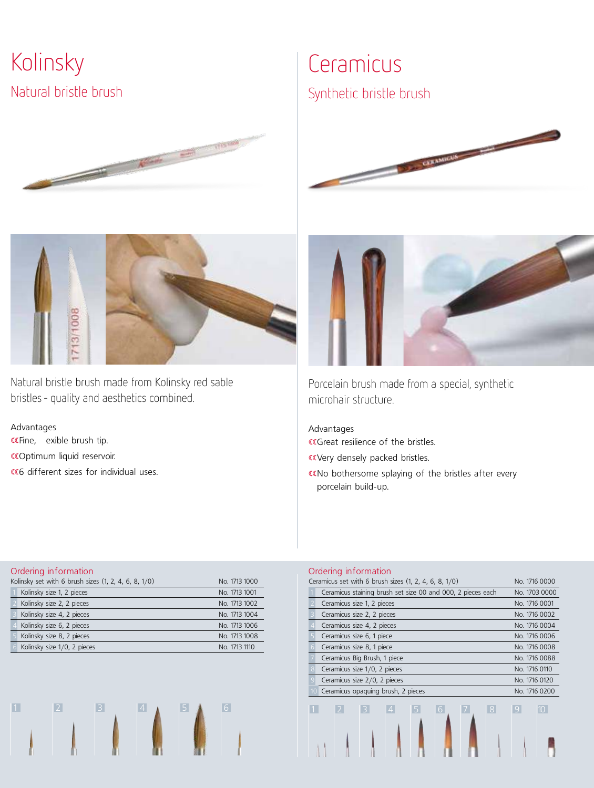Kolinsky Natural bristle brush





Natural bristle brush made from Kolinsky red sable bristles – quality and aesthetics combined.

Advantages «Fine, exible brush tip. «Optimum liquid reservoir. «6 different sizes for individual uses.

# Ceramicus

Synthetic bristle brush





Porcelain brush made from a special, synthetic microhair structure.

Advantages CCGreat resilience of the bristles.

- covery densely packed bristles.
- «No bothersome splaying of the bristles after every porcelain build-up.

#### Ordering information

| Kolinsky set with 6 brush sizes (1, 2, 4, 6, 8, 1/0)<br>No. 1713 1000 |               |  |  |  |
|-----------------------------------------------------------------------|---------------|--|--|--|
| Kolinsky size 1, 2 pieces                                             | No. 1713 1001 |  |  |  |
| Kolinsky size 2, 2 pieces                                             | No. 1713 1002 |  |  |  |
| Kolinsky size 4, 2 pieces                                             | No. 1713 1004 |  |  |  |
| Kolinsky size 6, 2 pieces                                             | No. 1713 1006 |  |  |  |
| Kolinsky size 8, 2 pieces                                             | No. 1713 1008 |  |  |  |
| Kolinsky size 1/0, 2 pieces                                           | No. 1713 1110 |  |  |  |



## Ordering information

|   | Ceramicus set with 6 brush sizes (1, 2, 4, 6, 8, 1/0)       | No. 1716 0000 |  |  |  |  |  |  |
|---|-------------------------------------------------------------|---------------|--|--|--|--|--|--|
|   | Ceramicus staining brush set size 00 and 000, 2 pieces each | No. 1703 0000 |  |  |  |  |  |  |
|   | Ceramicus size 1, 2 pieces                                  | No. 1716 0001 |  |  |  |  |  |  |
|   | Ceramicus size 2, 2 pieces                                  | No. 1716 0002 |  |  |  |  |  |  |
|   | Ceramicus size 4, 2 pieces                                  | No. 1716 0004 |  |  |  |  |  |  |
|   | Ceramicus size 6, 1 piece                                   | No. 1716 0006 |  |  |  |  |  |  |
| 6 | Ceramicus size 8, 1 piece                                   | No. 1716 0008 |  |  |  |  |  |  |
|   | Ceramicus Big Brush, 1 piece                                | No. 1716 0088 |  |  |  |  |  |  |
|   | Ceramicus size 1/0, 2 pieces                                | No. 1716 0110 |  |  |  |  |  |  |
| 9 | Ceramicus size 2/0, 2 pieces<br>No. 1716 0120               |               |  |  |  |  |  |  |
|   | Ceramicus opaguing brush, 2 pieces<br>No. 1716 0200         |               |  |  |  |  |  |  |
|   | 8 <br>$\overline{2}$<br>5.<br>6<br>3<br>4                   | 9 <br>$10-1$  |  |  |  |  |  |  |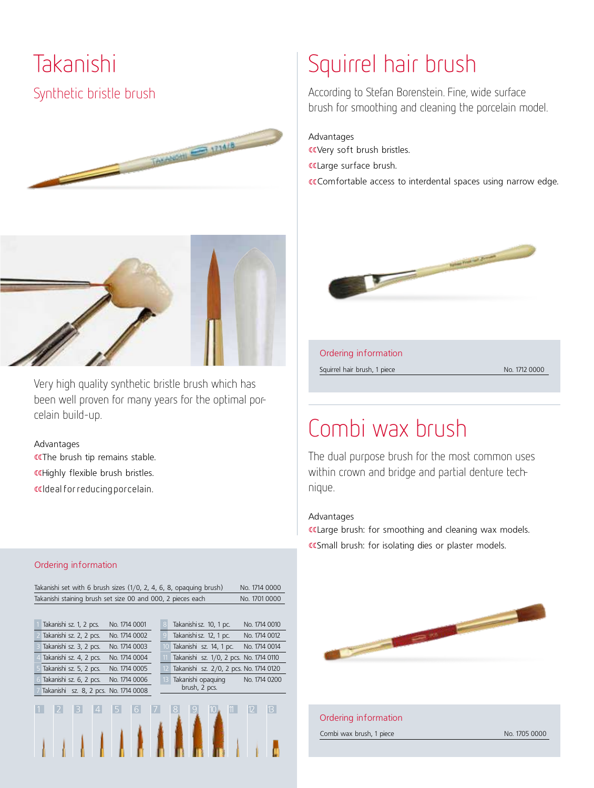Takanishi Synthetic bristle brush





Very high quality synthetic bristle brush which has been well proven for many years for the optimal porcelain build-up.

Advantages «The brush tip remains stable. «Highly flexible brush bristles. ƒƒ Ideal for reducing porcelain.

#### Ordering information

|                                                             | Takanishi set with 6 brush sizes (1/0, 2, 4, 6, 8, opaquing brush)<br>No. 1714 0000 |                         |  |   |                                       |               |    |                                          |  |
|-------------------------------------------------------------|-------------------------------------------------------------------------------------|-------------------------|--|---|---------------------------------------|---------------|----|------------------------------------------|--|
| Takanishi staining brush set size 00 and 000, 2 pieces each |                                                                                     |                         |  |   |                                       | No. 1701 0000 |    |                                          |  |
|                                                             |                                                                                     |                         |  |   |                                       |               |    |                                          |  |
|                                                             |                                                                                     | Takanishi sz. 1, 2 pcs. |  |   | No. 1714 0001                         |               | 8  | Takanishi sz. 10, 1 pc.<br>No. 1714 0010 |  |
|                                                             |                                                                                     | Takanishi sz. 2, 2 pcs. |  |   | No. 1714 0002                         |               | q  | Takanishi sz. 12, 1 pc.<br>No. 1714 0012 |  |
|                                                             |                                                                                     | Takanishi sz. 3, 2 pcs. |  |   | No. 1714 0003                         |               | 10 | Takanishi sz. 14, 1 pc.<br>No. 1714 0014 |  |
|                                                             |                                                                                     | Takanishi sz. 4, 2 pcs. |  |   | No. 1714 0004                         |               | 11 | Takanishi sz. 1/0, 2 pcs. No. 1714 0110  |  |
|                                                             |                                                                                     | Takanishi sz. 5, 2 pcs. |  |   | No. 1714 0005                         |               | 12 | Takanishi sz. 2/0, 2 pcs. No. 1714 0120  |  |
|                                                             |                                                                                     | Takanishi sz. 6, 2 pcs. |  |   | No. 1714 0006                         |               | 13 | Takanishi opaquing<br>No. 1714 0200      |  |
|                                                             |                                                                                     |                         |  |   | Takanishi sz. 8, 2 pcs. No. 1714 0008 |               |    | brush, 2 pcs.                            |  |
|                                                             |                                                                                     |                         |  | 4 |                                       | 6             |    | $\mathbf{B}$<br>12 <sup>°</sup>          |  |

# Squirrel hair brush

According to Stefan Borenstein. Fine, wide surface brush for smoothing and cleaning the porcelain model.

Advantages

ƒƒVery soft brush bristles.

«Large surface brush.

«Comfortable access to interdental spaces using narrow edge.



Ordering information

Squirrel hair brush, 1 piece No. 1712 0000

# Combi wax brush

The dual purpose brush for the most common uses within crown and bridge and partial denture technique.

# Advantages

«Large brush: for smoothing and cleaning wax models. «Small brush: for isolating dies or plaster models.



# Ordering information

Combi wax brush, 1 piece No. 1705 0000